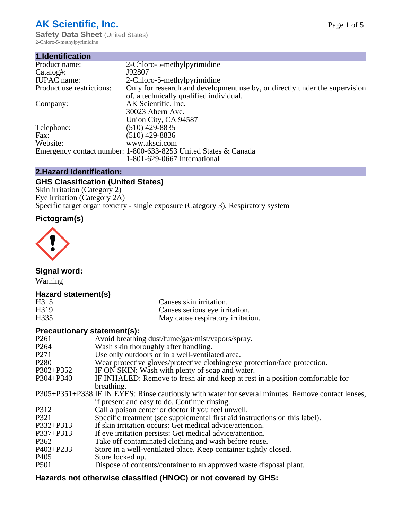# **AK Scientific, Inc.**

**Safety Data Sheet (United States)** 2-Chloro-5-methylpyrimidine

| 1.Identification          |                                                                                                                        |
|---------------------------|------------------------------------------------------------------------------------------------------------------------|
| Product name:             | 2-Chloro-5-methylpyrimidine                                                                                            |
| Catalog#:                 | J92807                                                                                                                 |
| <b>IUPAC</b> name:        | 2-Chloro-5-methylpyrimidine                                                                                            |
| Product use restrictions: | Only for research and development use by, or directly under the supervision<br>of, a technically qualified individual. |
| Company:                  | AK Scientific, Inc.<br>30023 Ahern Ave.<br>Union City, CA 94587                                                        |
| Telephone:                | $(510)$ 429-8835                                                                                                       |
| Fax:                      | $(510)$ 429-8836                                                                                                       |
| Website:                  | www.aksci.com                                                                                                          |
|                           | Emergency contact number: 1-800-633-8253 United States & Canada                                                        |
|                           | 1-801-629-0667 International                                                                                           |
|                           |                                                                                                                        |

# **2.Hazard Identification:**

# **GHS Classification (United States)**

Skin irritation (Category 2) Eye irritation (Category 2A) Specific target organ toxicity - single exposure (Category 3), Respiratory system

# **Pictogram(s)**



**Signal word:**

Warning

# **Hazard statement(s)**

| H <sub>315</sub>  | Causes skin irritation.           |
|-------------------|-----------------------------------|
| H <sub>3</sub> 19 | Causes serious eye irritation.    |
| H335              | May cause respiratory irritation. |

## **Precautionary statement(s):**

| P <sub>261</sub> | Avoid breathing dust/fume/gas/mist/vapors/spray.                                                   |
|------------------|----------------------------------------------------------------------------------------------------|
| P <sub>264</sub> | Wash skin thoroughly after handling.                                                               |
| P <sub>271</sub> | Use only outdoors or in a well-ventilated area.                                                    |
| P <sub>280</sub> | Wear protective gloves/protective clothing/eye protection/face protection.                         |
| P302+P352        | IF ON SKIN: Wash with plenty of soap and water.                                                    |
| $P304 + P340$    | IF INHALED: Remove to fresh air and keep at rest in a position comfortable for                     |
|                  | breathing.                                                                                         |
|                  | P305+P351+P338 IF IN EYES: Rinse cautiously with water for several minutes. Remove contact lenses, |
|                  | if present and easy to do. Continue rinsing.                                                       |
| P312             | Call a poison center or doctor if you feel unwell.                                                 |
| P321             | Specific treatment (see supplemental first aid instructions on this label).                        |
| P332+P313        | If skin irritation occurs: Get medical advice/attention.                                           |
| P337+P313        | If eye irritation persists: Get medical advice/attention.                                          |
| P362             | Take off contaminated clothing and wash before reuse.                                              |
| $P403 + P233$    | Store in a well-ventilated place. Keep container tightly closed.                                   |
| P <sub>405</sub> | Store locked up.                                                                                   |
| P <sub>501</sub> | Dispose of contents/container to an approved waste disposal plant.                                 |
|                  |                                                                                                    |

# **Hazards not otherwise classified (HNOC) or not covered by GHS:**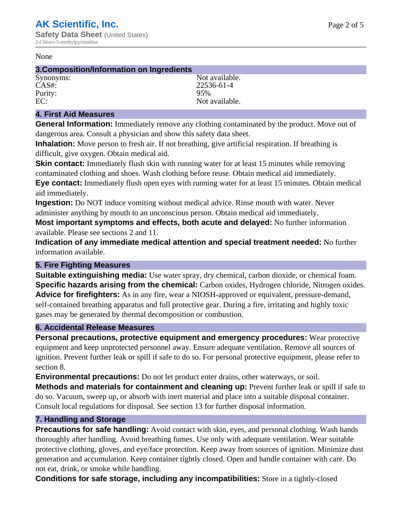#### None

### **3.Composition/Information on Ingredients**

Purity:<br>EC:

Synonyms: Not available. CAS#: 22536-61-4<br>Purity: 95% 95% Not available.

# **4. First Aid Measures**

**General Information:** Immediately remove any clothing contaminated by the product. Move out of dangerous area. Consult a physician and show this safety data sheet.

**Inhalation:** Move person to fresh air. If not breathing, give artificial respiration. If breathing is difficult, give oxygen. Obtain medical aid.

**Skin contact:** Immediately flush skin with running water for at least 15 minutes while removing contaminated clothing and shoes. Wash clothing before reuse. Obtain medical aid immediately. **Eye contact:** Immediately flush open eyes with running water for at least 15 minutes. Obtain medical aid immediately.

**Ingestion:** Do NOT induce vomiting without medical advice. Rinse mouth with water. Never administer anything by mouth to an unconscious person. Obtain medical aid immediately.

**Most important symptoms and effects, both acute and delayed:** No further information available. Please see sections 2 and 11.

**Indication of any immediate medical attention and special treatment needed:** No further information available.

## **5. Fire Fighting Measures**

**Suitable extinguishing media:** Use water spray, dry chemical, carbon dioxide, or chemical foam. **Specific hazards arising from the chemical:** Carbon oxides, Hydrogen chloride, Nitrogen oxides. **Advice for firefighters:** As in any fire, wear a NIOSH-approved or equivalent, pressure-demand, self-contained breathing apparatus and full protective gear. During a fire, irritating and highly toxic gases may be generated by thermal decomposition or combustion.

## **6. Accidental Release Measures**

**Personal precautions, protective equipment and emergency procedures:** Wear protective equipment and keep unprotected personnel away. Ensure adequate ventilation. Remove all sources of ignition. Prevent further leak or spill if safe to do so. For personal protective equipment, please refer to section 8.

**Environmental precautions:** Do not let product enter drains, other waterways, or soil.

**Methods and materials for containment and cleaning up:** Prevent further leak or spill if safe to do so. Vacuum, sweep up, or absorb with inert material and place into a suitable disposal container. Consult local regulations for disposal. See section 13 for further disposal information.

## **7. Handling and Storage**

**Precautions for safe handling:** Avoid contact with skin, eyes, and personal clothing. Wash hands thoroughly after handling. Avoid breathing fumes. Use only with adequate ventilation. Wear suitable protective clothing, gloves, and eye/face protection. Keep away from sources of ignition. Minimize dust generation and accumulation. Keep container tightly closed. Open and handle container with care. Do not eat, drink, or smoke while handling.

**Conditions for safe storage, including any incompatibilities:** Store in a tightly-closed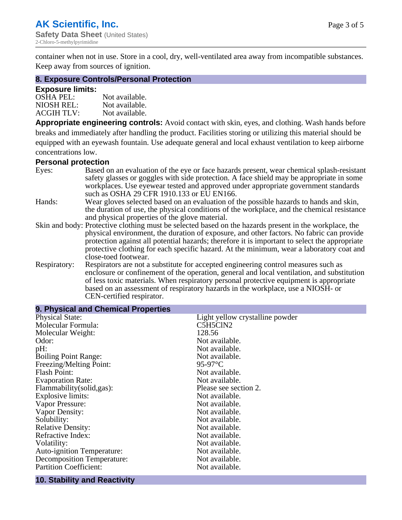container when not in use. Store in a cool, dry, well-ventilated area away from incompatible substances. Keep away from sources of ignition.

### **8. Exposure Controls/Personal Protection**

#### **Exposure limits:**

| <b>OSHA PEL:</b>  | Not available. |
|-------------------|----------------|
| NIOSH REL:        | Not available. |
| <b>ACGIH TLV:</b> | Not available. |

**Appropriate engineering controls:** Avoid contact with skin, eyes, and clothing. Wash hands before breaks and immediately after handling the product. Facilities storing or utilizing this material should be equipped with an eyewash fountain. Use adequate general and local exhaust ventilation to keep airborne concentrations low.

#### **Personal protection**

| Eyes:        | Based on an evaluation of the eye or face hazards present, wear chemical splash-resistant<br>safety glasses or goggles with side protection. A face shield may be appropriate in some                                                                                      |
|--------------|----------------------------------------------------------------------------------------------------------------------------------------------------------------------------------------------------------------------------------------------------------------------------|
|              | workplaces. Use eyewear tested and approved under appropriate government standards<br>such as OSHA 29 CFR 1910.133 or EU EN166.                                                                                                                                            |
| Hands:       | Wear gloves selected based on an evaluation of the possible hazards to hands and skin,                                                                                                                                                                                     |
|              | the duration of use, the physical conditions of the workplace, and the chemical resistance<br>and physical properties of the glove material.                                                                                                                               |
|              | Skin and body: Protective clothing must be selected based on the hazards present in the workplace, the                                                                                                                                                                     |
|              | physical environment, the duration of exposure, and other factors. No fabric can provide<br>protection against all potential hazards; therefore it is important to select the appropriate                                                                                  |
|              | protective clothing for each specific hazard. At the minimum, wear a laboratory coat and<br>close-toed footwear.                                                                                                                                                           |
| Respiratory: | Respirators are not a substitute for accepted engineering control measures such as<br>enclosure or confinement of the operation, general and local ventilation, and substitution<br>of less toxic materials. When respiratory personal protective equipment is appropriate |
|              | based on an assessment of respiratory hazards in the workplace, use a NIOSH- or                                                                                                                                                                                            |
|              | CEN-certified respirator.                                                                                                                                                                                                                                                  |

| 9. Physical and Chemical Properties |                                 |  |  |
|-------------------------------------|---------------------------------|--|--|
| <b>Physical State:</b>              | Light yellow crystalline powder |  |  |
| Molecular Formula:                  | C5H5ClN2                        |  |  |
| Molecular Weight:                   | 128.56                          |  |  |
| Odor:                               | Not available.                  |  |  |
| $pH$ :                              | Not available.                  |  |  |
| <b>Boiling Point Range:</b>         | Not available.                  |  |  |
| Freezing/Melting Point:             | 95-97 $\mathrm{^{\circ}C}$      |  |  |
| Flash Point:                        | Not available.                  |  |  |
| <b>Evaporation Rate:</b>            | Not available.                  |  |  |
| Flammability(solid,gas):            | Please see section 2.           |  |  |
| Explosive limits:                   | Not available.                  |  |  |
| Vapor Pressure:                     | Not available.                  |  |  |
| Vapor Density:                      | Not available.                  |  |  |
| Solubility:                         | Not available.                  |  |  |
| <b>Relative Density:</b>            | Not available.                  |  |  |
| Refractive Index:                   | Not available.                  |  |  |
| Volatility:                         | Not available.                  |  |  |
| <b>Auto-ignition Temperature:</b>   | Not available.                  |  |  |
| <b>Decomposition Temperature:</b>   | Not available.                  |  |  |
| <b>Partition Coefficient:</b>       | Not available.                  |  |  |
|                                     |                                 |  |  |

# **10. Stability and Reactivity**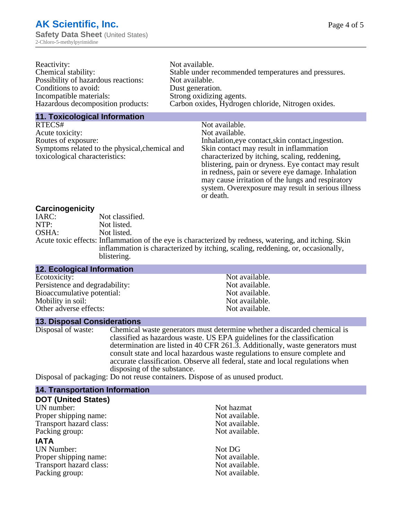| Reactivity:                         | Not available.                                       |
|-------------------------------------|------------------------------------------------------|
| Chemical stability:                 | Stable under recommended temperatures and pressures. |
| Possibility of hazardous reactions: | Not available.                                       |
| Conditions to avoid:                | Dust generation.                                     |
| Incompatible materials:             | Strong oxidizing agents.                             |
| Hazardous decomposition products:   | Carbon oxides, Hydrogen chloride, Nitrogen oxides.   |

#### **11. Toxicological Information**

| RTECS#                                         | Not available.                                      |
|------------------------------------------------|-----------------------------------------------------|
| Acute toxicity:                                | Not available.                                      |
| Routes of exposure:                            | Inhalation, eye contact, skin contact, ingestion.   |
| Symptoms related to the physical, chemical and | Skin contact may result in inflammation             |
| toxicological characteristics:                 | characterized by itching, scaling, reddening,       |
|                                                | blistering, pain or dryness. Eye contact may result |
|                                                | in redness, pain or severe eye damage. Inhalation   |
|                                                | may cause irritation of the lungs and respiratory   |
|                                                | system. Overexposure may result in serious illness  |

or death.

#### **Carcinogenicity**

| IARC: | Not classified.                                                                                       |
|-------|-------------------------------------------------------------------------------------------------------|
| NTP:  | Not listed.                                                                                           |
| OSHA: | Not listed.                                                                                           |
|       | Acute toxic effects: Inflammation of the eye is characterized by redness, watering, and itching. Skin |
|       | inflammation is characterized by itching, scaling, reddening, or, occasionally,                       |
|       | blistering.                                                                                           |

| 12. Ecological Information     |                |
|--------------------------------|----------------|
| Ecotoxicity:                   | Not available. |
| Persistence and degradability: | Not available. |
| Bioaccumulative potential:     | Not available. |
| Mobility in soil:              | Not available. |
| Other adverse effects:         | Not available. |

#### **13. Disposal Considerations**

Disposal of waste: Chemical waste generators must determine whether a discarded chemical is classified as hazardous waste. US EPA guidelines for the classification determination are listed in 40 CFR 261.3. Additionally, waste generators must consult state and local hazardous waste regulations to ensure complete and accurate classification. Observe all federal, state and local regulations when disposing of the substance.

Disposal of packaging: Do not reuse containers. Dispose of as unused product.

| <b>14. Transportation Information</b> |                |
|---------------------------------------|----------------|
| <b>DOT (United States)</b>            |                |
| UN number:                            | Not hazmat     |
| Proper shipping name:                 | Not available. |
| Transport hazard class:               | Not available. |
| Packing group:                        | Not available. |
| <b>IATA</b>                           |                |
| <b>UN Number:</b>                     | Not DG         |
| Proper shipping name:                 | Not available. |
| Transport hazard class:               | Not available. |
| Packing group:                        | Not available. |